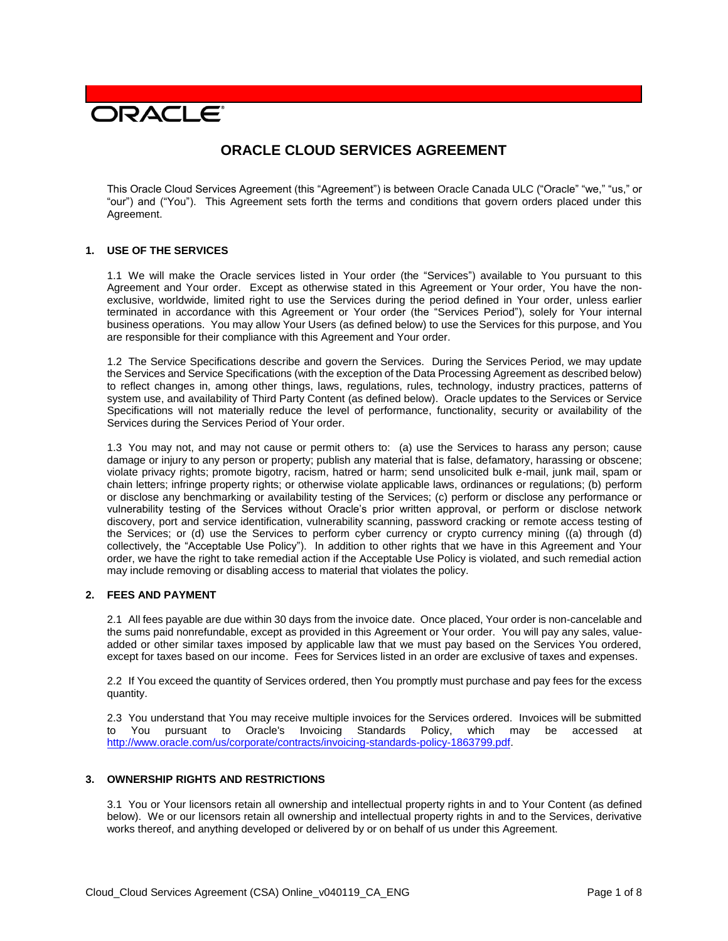# **DRACLE**

# **ORACLE CLOUD SERVICES AGREEMENT**

This Oracle Cloud Services Agreement (this "Agreement") is between Oracle Canada ULC ("Oracle" "we," "us," or "our") and ("You"). This Agreement sets forth the terms and conditions that govern orders placed under this Agreement.

#### **1. USE OF THE SERVICES**

1.1 We will make the Oracle services listed in Your order (the "Services") available to You pursuant to this Agreement and Your order. Except as otherwise stated in this Agreement or Your order, You have the nonexclusive, worldwide, limited right to use the Services during the period defined in Your order, unless earlier terminated in accordance with this Agreement or Your order (the "Services Period"), solely for Your internal business operations. You may allow Your Users (as defined below) to use the Services for this purpose, and You are responsible for their compliance with this Agreement and Your order.

1.2 The Service Specifications describe and govern the Services. During the Services Period, we may update the Services and Service Specifications (with the exception of the Data Processing Agreement as described below) to reflect changes in, among other things, laws, regulations, rules, technology, industry practices, patterns of system use, and availability of Third Party Content (as defined below). Oracle updates to the Services or Service Specifications will not materially reduce the level of performance, functionality, security or availability of the Services during the Services Period of Your order.

1.3 You may not, and may not cause or permit others to: (a) use the Services to harass any person; cause damage or injury to any person or property; publish any material that is false, defamatory, harassing or obscene; violate privacy rights; promote bigotry, racism, hatred or harm; send unsolicited bulk e-mail, junk mail, spam or chain letters; infringe property rights; or otherwise violate applicable laws, ordinances or regulations; (b) perform or disclose any benchmarking or availability testing of the Services; (c) perform or disclose any performance or vulnerability testing of the Services without Oracle's prior written approval, or perform or disclose network discovery, port and service identification, vulnerability scanning, password cracking or remote access testing of the Services; or (d) use the Services to perform cyber currency or crypto currency mining ((a) through (d) collectively, the "Acceptable Use Policy"). In addition to other rights that we have in this Agreement and Your order, we have the right to take remedial action if the Acceptable Use Policy is violated, and such remedial action may include removing or disabling access to material that violates the policy.

# **2. FEES AND PAYMENT**

2.1 All fees payable are due within 30 days from the invoice date. Once placed, Your order is non-cancelable and the sums paid nonrefundable, except as provided in this Agreement or Your order. You will pay any sales, valueadded or other similar taxes imposed by applicable law that we must pay based on the Services You ordered, except for taxes based on our income. Fees for Services listed in an order are exclusive of taxes and expenses.

2.2 If You exceed the quantity of Services ordered, then You promptly must purchase and pay fees for the excess quantity.

2.3 You understand that You may receive multiple invoices for the Services ordered. Invoices will be submitted to You pursuant to Oracle's Invoicing Standards Policy, which may be accessed at [http://www.oracle.com/us/corporate/contracts/invoicing-standards-policy-1863799.pdf.](http://www.oracle.com/us/corporate/contracts/invoicing-standards-policy-1863799.pdf)

#### **3. OWNERSHIP RIGHTS AND RESTRICTIONS**

3.1 You or Your licensors retain all ownership and intellectual property rights in and to Your Content (as defined below). We or our licensors retain all ownership and intellectual property rights in and to the Services, derivative works thereof, and anything developed or delivered by or on behalf of us under this Agreement.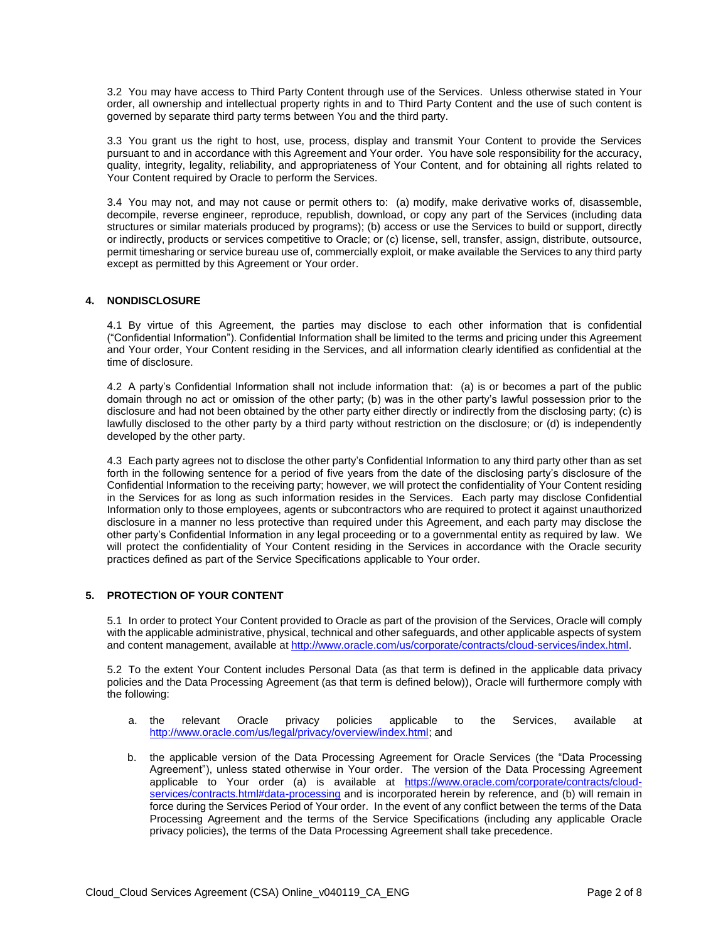3.2 You may have access to Third Party Content through use of the Services. Unless otherwise stated in Your order, all ownership and intellectual property rights in and to Third Party Content and the use of such content is governed by separate third party terms between You and the third party.

3.3 You grant us the right to host, use, process, display and transmit Your Content to provide the Services pursuant to and in accordance with this Agreement and Your order. You have sole responsibility for the accuracy, quality, integrity, legality, reliability, and appropriateness of Your Content, and for obtaining all rights related to Your Content required by Oracle to perform the Services.

3.4 You may not, and may not cause or permit others to: (a) modify, make derivative works of, disassemble, decompile, reverse engineer, reproduce, republish, download, or copy any part of the Services (including data structures or similar materials produced by programs); (b) access or use the Services to build or support, directly or indirectly, products or services competitive to Oracle; or (c) license, sell, transfer, assign, distribute, outsource, permit timesharing or service bureau use of, commercially exploit, or make available the Services to any third party except as permitted by this Agreement or Your order.

# **4. NONDISCLOSURE**

4.1 By virtue of this Agreement, the parties may disclose to each other information that is confidential ("Confidential Information"). Confidential Information shall be limited to the terms and pricing under this Agreement and Your order, Your Content residing in the Services, and all information clearly identified as confidential at the time of disclosure.

4.2 A party's Confidential Information shall not include information that: (a) is or becomes a part of the public domain through no act or omission of the other party; (b) was in the other party's lawful possession prior to the disclosure and had not been obtained by the other party either directly or indirectly from the disclosing party; (c) is lawfully disclosed to the other party by a third party without restriction on the disclosure; or (d) is independently developed by the other party.

4.3 Each party agrees not to disclose the other party's Confidential Information to any third party other than as set forth in the following sentence for a period of five years from the date of the disclosing party's disclosure of the Confidential Information to the receiving party; however, we will protect the confidentiality of Your Content residing in the Services for as long as such information resides in the Services. Each party may disclose Confidential Information only to those employees, agents or subcontractors who are required to protect it against unauthorized disclosure in a manner no less protective than required under this Agreement, and each party may disclose the other party's Confidential Information in any legal proceeding or to a governmental entity as required by law. We will protect the confidentiality of Your Content residing in the Services in accordance with the Oracle security practices defined as part of the Service Specifications applicable to Your order.

## **5. PROTECTION OF YOUR CONTENT**

5.1 In order to protect Your Content provided to Oracle as part of the provision of the Services, Oracle will comply with the applicable administrative, physical, technical and other safeguards, and other applicable aspects of system and content management, available at [http://www.oracle.com/us/corporate/contracts/cloud-services/index.html.](http://www.oracle.com/us/corporate/contracts/cloud-services/index.html)

5.2 To the extent Your Content includes Personal Data (as that term is defined in the applicable data privacy policies and the Data Processing Agreement (as that term is defined below)), Oracle will furthermore comply with the following:

- a. the relevant Oracle privacy policies applicable to the Services, available at [http://www.oracle.com/us/legal/privacy/overview/index.html;](http://www.oracle.com/us/legal/privacy/overview/index.html) and
- b. the applicable version of the Data Processing Agreement for Oracle Services (the "Data Processing Agreement"), unless stated otherwise in Your order. The version of the Data Processing Agreement applicable to Your order (a) is available at [https://www.oracle.com/corporate/contracts/cloud](https://www.oracle.com/corporate/contracts/cloud-services/contracts.html#data-processing)[services/contracts.html#data-processing](https://www.oracle.com/corporate/contracts/cloud-services/contracts.html#data-processing) and is incorporated herein by reference, and (b) will remain in force during the Services Period of Your order. In the event of any conflict between the terms of the Data Processing Agreement and the terms of the Service Specifications (including any applicable Oracle privacy policies), the terms of the Data Processing Agreement shall take precedence.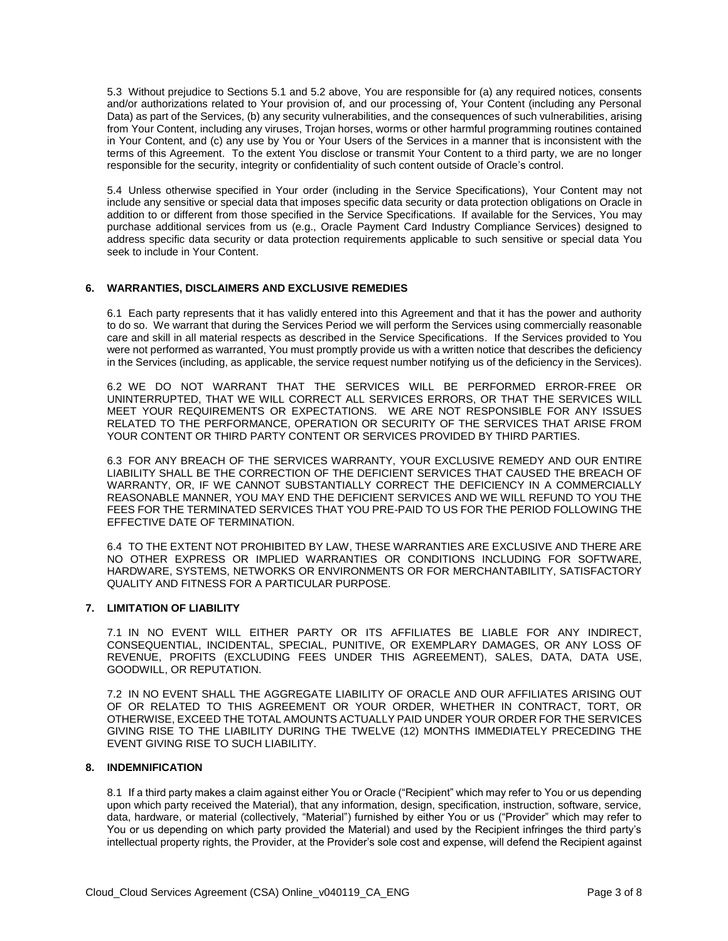5.3 Without prejudice to Sections 5.1 and 5.2 above, You are responsible for (a) any required notices, consents and/or authorizations related to Your provision of, and our processing of, Your Content (including any Personal Data) as part of the Services, (b) any security vulnerabilities, and the consequences of such vulnerabilities, arising from Your Content, including any viruses, Trojan horses, worms or other harmful programming routines contained in Your Content, and (c) any use by You or Your Users of the Services in a manner that is inconsistent with the terms of this Agreement. To the extent You disclose or transmit Your Content to a third party, we are no longer responsible for the security, integrity or confidentiality of such content outside of Oracle's control.

5.4 Unless otherwise specified in Your order (including in the Service Specifications), Your Content may not include any sensitive or special data that imposes specific data security or data protection obligations on Oracle in addition to or different from those specified in the Service Specifications. If available for the Services, You may purchase additional services from us (e.g., Oracle Payment Card Industry Compliance Services) designed to address specific data security or data protection requirements applicable to such sensitive or special data You seek to include in Your Content.

#### **6. WARRANTIES, DISCLAIMERS AND EXCLUSIVE REMEDIES**

6.1 Each party represents that it has validly entered into this Agreement and that it has the power and authority to do so. We warrant that during the Services Period we will perform the Services using commercially reasonable care and skill in all material respects as described in the Service Specifications. If the Services provided to You were not performed as warranted, You must promptly provide us with a written notice that describes the deficiency in the Services (including, as applicable, the service request number notifying us of the deficiency in the Services).

6.2 WE DO NOT WARRANT THAT THE SERVICES WILL BE PERFORMED ERROR-FREE OR UNINTERRUPTED, THAT WE WILL CORRECT ALL SERVICES ERRORS, OR THAT THE SERVICES WILL MEET YOUR REQUIREMENTS OR EXPECTATIONS. WE ARE NOT RESPONSIBLE FOR ANY ISSUES RELATED TO THE PERFORMANCE, OPERATION OR SECURITY OF THE SERVICES THAT ARISE FROM YOUR CONTENT OR THIRD PARTY CONTENT OR SERVICES PROVIDED BY THIRD PARTIES.

6.3 FOR ANY BREACH OF THE SERVICES WARRANTY, YOUR EXCLUSIVE REMEDY AND OUR ENTIRE LIABILITY SHALL BE THE CORRECTION OF THE DEFICIENT SERVICES THAT CAUSED THE BREACH OF WARRANTY, OR, IF WE CANNOT SUBSTANTIALLY CORRECT THE DEFICIENCY IN A COMMERCIALLY REASONABLE MANNER, YOU MAY END THE DEFICIENT SERVICES AND WE WILL REFUND TO YOU THE FEES FOR THE TERMINATED SERVICES THAT YOU PRE-PAID TO US FOR THE PERIOD FOLLOWING THE EFFECTIVE DATE OF TERMINATION.

6.4 TO THE EXTENT NOT PROHIBITED BY LAW, THESE WARRANTIES ARE EXCLUSIVE AND THERE ARE NO OTHER EXPRESS OR IMPLIED WARRANTIES OR CONDITIONS INCLUDING FOR SOFTWARE, HARDWARE, SYSTEMS, NETWORKS OR ENVIRONMENTS OR FOR MERCHANTABILITY, SATISFACTORY QUALITY AND FITNESS FOR A PARTICULAR PURPOSE.

#### **7. LIMITATION OF LIABILITY**

7.1 IN NO EVENT WILL EITHER PARTY OR ITS AFFILIATES BE LIABLE FOR ANY INDIRECT, CONSEQUENTIAL, INCIDENTAL, SPECIAL, PUNITIVE, OR EXEMPLARY DAMAGES, OR ANY LOSS OF REVENUE, PROFITS (EXCLUDING FEES UNDER THIS AGREEMENT), SALES, DATA, DATA USE, GOODWILL, OR REPUTATION.

7.2 IN NO EVENT SHALL THE AGGREGATE LIABILITY OF ORACLE AND OUR AFFILIATES ARISING OUT OF OR RELATED TO THIS AGREEMENT OR YOUR ORDER, WHETHER IN CONTRACT, TORT, OR OTHERWISE, EXCEED THE TOTAL AMOUNTS ACTUALLY PAID UNDER YOUR ORDER FOR THE SERVICES GIVING RISE TO THE LIABILITY DURING THE TWELVE (12) MONTHS IMMEDIATELY PRECEDING THE EVENT GIVING RISE TO SUCH LIABILITY.

#### **8. INDEMNIFICATION**

8.1 If a third party makes a claim against either You or Oracle ("Recipient" which may refer to You or us depending upon which party received the Material), that any information, design, specification, instruction, software, service, data, hardware, or material (collectively, "Material") furnished by either You or us ("Provider" which may refer to You or us depending on which party provided the Material) and used by the Recipient infringes the third party's intellectual property rights, the Provider, at the Provider's sole cost and expense, will defend the Recipient against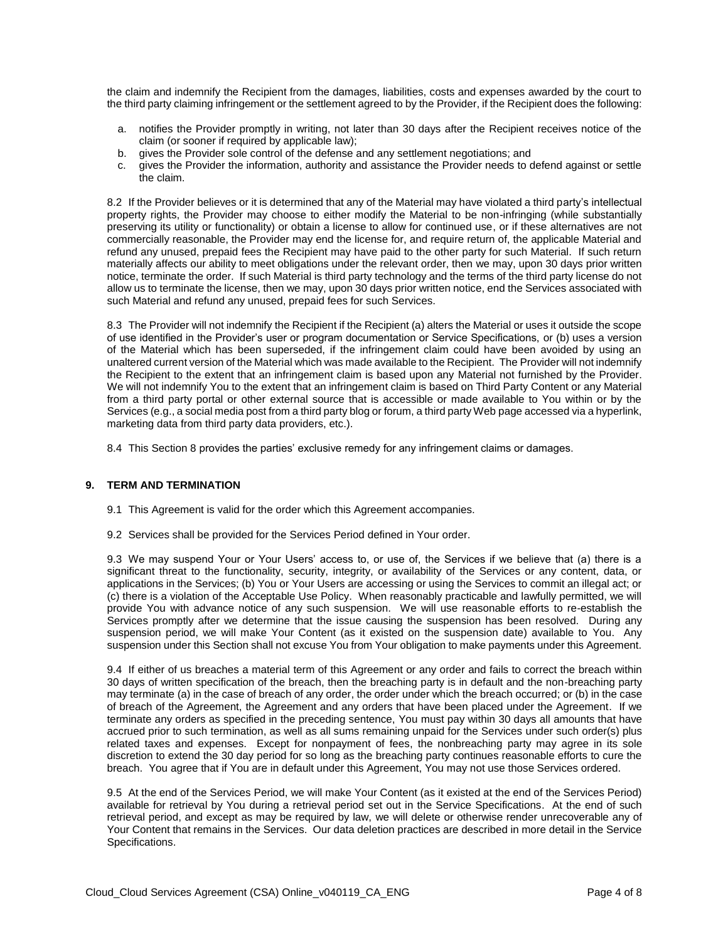the claim and indemnify the Recipient from the damages, liabilities, costs and expenses awarded by the court to the third party claiming infringement or the settlement agreed to by the Provider, if the Recipient does the following:

- a. notifies the Provider promptly in writing, not later than 30 days after the Recipient receives notice of the claim (or sooner if required by applicable law);
- b. gives the Provider sole control of the defense and any settlement negotiations; and
- c. gives the Provider the information, authority and assistance the Provider needs to defend against or settle the claim.

8.2 If the Provider believes or it is determined that any of the Material may have violated a third party's intellectual property rights, the Provider may choose to either modify the Material to be non-infringing (while substantially preserving its utility or functionality) or obtain a license to allow for continued use, or if these alternatives are not commercially reasonable, the Provider may end the license for, and require return of, the applicable Material and refund any unused, prepaid fees the Recipient may have paid to the other party for such Material. If such return materially affects our ability to meet obligations under the relevant order, then we may, upon 30 days prior written notice, terminate the order. If such Material is third party technology and the terms of the third party license do not allow us to terminate the license, then we may, upon 30 days prior written notice, end the Services associated with such Material and refund any unused, prepaid fees for such Services.

8.3 The Provider will not indemnify the Recipient if the Recipient (a) alters the Material or uses it outside the scope of use identified in the Provider's user or program documentation or Service Specifications, or (b) uses a version of the Material which has been superseded, if the infringement claim could have been avoided by using an unaltered current version of the Material which was made available to the Recipient. The Provider will not indemnify the Recipient to the extent that an infringement claim is based upon any Material not furnished by the Provider. We will not indemnify You to the extent that an infringement claim is based on Third Party Content or any Material from a third party portal or other external source that is accessible or made available to You within or by the Services (e.g., a social media post from a third party blog or forum, a third party Web page accessed via a hyperlink, marketing data from third party data providers, etc.).

8.4 This Section 8 provides the parties' exclusive remedy for any infringement claims or damages.

#### **9. TERM AND TERMINATION**

- 9.1 This Agreement is valid for the order which this Agreement accompanies.
- 9.2 Services shall be provided for the Services Period defined in Your order.

9.3 We may suspend Your or Your Users' access to, or use of, the Services if we believe that (a) there is a significant threat to the functionality, security, integrity, or availability of the Services or any content, data, or applications in the Services; (b) You or Your Users are accessing or using the Services to commit an illegal act; or (c) there is a violation of the Acceptable Use Policy. When reasonably practicable and lawfully permitted, we will provide You with advance notice of any such suspension. We will use reasonable efforts to re-establish the Services promptly after we determine that the issue causing the suspension has been resolved. During any suspension period, we will make Your Content (as it existed on the suspension date) available to You. Any suspension under this Section shall not excuse You from Your obligation to make payments under this Agreement.

9.4 If either of us breaches a material term of this Agreement or any order and fails to correct the breach within 30 days of written specification of the breach, then the breaching party is in default and the non-breaching party may terminate (a) in the case of breach of any order, the order under which the breach occurred; or (b) in the case of breach of the Agreement, the Agreement and any orders that have been placed under the Agreement. If we terminate any orders as specified in the preceding sentence, You must pay within 30 days all amounts that have accrued prior to such termination, as well as all sums remaining unpaid for the Services under such order(s) plus related taxes and expenses. Except for nonpayment of fees, the nonbreaching party may agree in its sole discretion to extend the 30 day period for so long as the breaching party continues reasonable efforts to cure the breach. You agree that if You are in default under this Agreement, You may not use those Services ordered.

9.5 At the end of the Services Period, we will make Your Content (as it existed at the end of the Services Period) available for retrieval by You during a retrieval period set out in the Service Specifications. At the end of such retrieval period, and except as may be required by law, we will delete or otherwise render unrecoverable any of Your Content that remains in the Services. Our data deletion practices are described in more detail in the Service Specifications.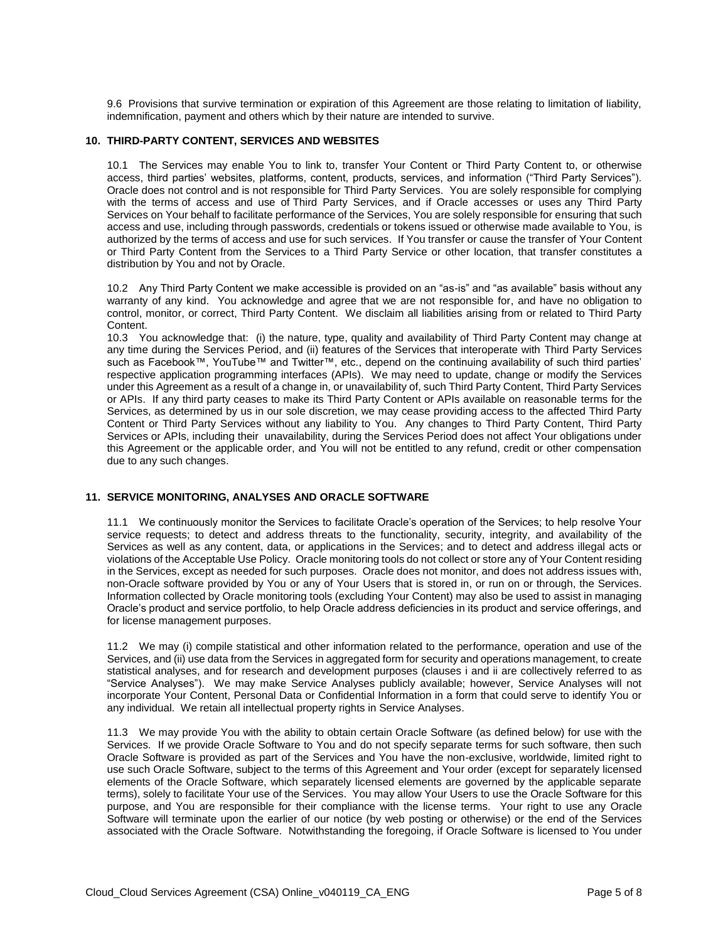9.6 Provisions that survive termination or expiration of this Agreement are those relating to limitation of liability, indemnification, payment and others which by their nature are intended to survive.

#### **10. THIRD-PARTY CONTENT, SERVICES AND WEBSITES**

10.1 The Services may enable You to link to, transfer Your Content or Third Party Content to, or otherwise access, third parties' websites, platforms, content, products, services, and information ("Third Party Services"). Oracle does not control and is not responsible for Third Party Services. You are solely responsible for complying with the terms of access and use of Third Party Services, and if Oracle accesses or uses any Third Party Services on Your behalf to facilitate performance of the Services, You are solely responsible for ensuring that such access and use, including through passwords, credentials or tokens issued or otherwise made available to You, is authorized by the terms of access and use for such services. If You transfer or cause the transfer of Your Content or Third Party Content from the Services to a Third Party Service or other location, that transfer constitutes a distribution by You and not by Oracle.

10.2 Any Third Party Content we make accessible is provided on an "as-is" and "as available" basis without any warranty of any kind. You acknowledge and agree that we are not responsible for, and have no obligation to control, monitor, or correct, Third Party Content. We disclaim all liabilities arising from or related to Third Party Content.

10.3 You acknowledge that: (i) the nature, type, quality and availability of Third Party Content may change at any time during the Services Period, and (ii) features of the Services that interoperate with Third Party Services such as Facebook™, YouTube™ and Twitter™, etc., depend on the continuing availability of such third parties' respective application programming interfaces (APIs). We may need to update, change or modify the Services under this Agreement as a result of a change in, or unavailability of, such Third Party Content, Third Party Services or APIs. If any third party ceases to make its Third Party Content or APIs available on reasonable terms for the Services, as determined by us in our sole discretion, we may cease providing access to the affected Third Party Content or Third Party Services without any liability to You. Any changes to Third Party Content, Third Party Services or APIs, including their unavailability, during the Services Period does not affect Your obligations under this Agreement or the applicable order, and You will not be entitled to any refund, credit or other compensation due to any such changes.

#### **11. SERVICE MONITORING, ANALYSES AND ORACLE SOFTWARE**

11.1 We continuously monitor the Services to facilitate Oracle's operation of the Services; to help resolve Your service requests; to detect and address threats to the functionality, security, integrity, and availability of the Services as well as any content, data, or applications in the Services; and to detect and address illegal acts or violations of the Acceptable Use Policy. Oracle monitoring tools do not collect or store any of Your Content residing in the Services, except as needed for such purposes. Oracle does not monitor, and does not address issues with, non-Oracle software provided by You or any of Your Users that is stored in, or run on or through, the Services. Information collected by Oracle monitoring tools (excluding Your Content) may also be used to assist in managing Oracle's product and service portfolio, to help Oracle address deficiencies in its product and service offerings, and for license management purposes.

11.2 We may (i) compile statistical and other information related to the performance, operation and use of the Services, and (ii) use data from the Services in aggregated form for security and operations management, to create statistical analyses, and for research and development purposes (clauses i and ii are collectively referred to as "Service Analyses"). We may make Service Analyses publicly available; however, Service Analyses will not incorporate Your Content, Personal Data or Confidential Information in a form that could serve to identify You or any individual. We retain all intellectual property rights in Service Analyses.

11.3 We may provide You with the ability to obtain certain Oracle Software (as defined below) for use with the Services. If we provide Oracle Software to You and do not specify separate terms for such software, then such Oracle Software is provided as part of the Services and You have the non-exclusive, worldwide, limited right to use such Oracle Software, subject to the terms of this Agreement and Your order (except for separately licensed elements of the Oracle Software, which separately licensed elements are governed by the applicable separate terms), solely to facilitate Your use of the Services. You may allow Your Users to use the Oracle Software for this purpose, and You are responsible for their compliance with the license terms. Your right to use any Oracle Software will terminate upon the earlier of our notice (by web posting or otherwise) or the end of the Services associated with the Oracle Software. Notwithstanding the foregoing, if Oracle Software is licensed to You under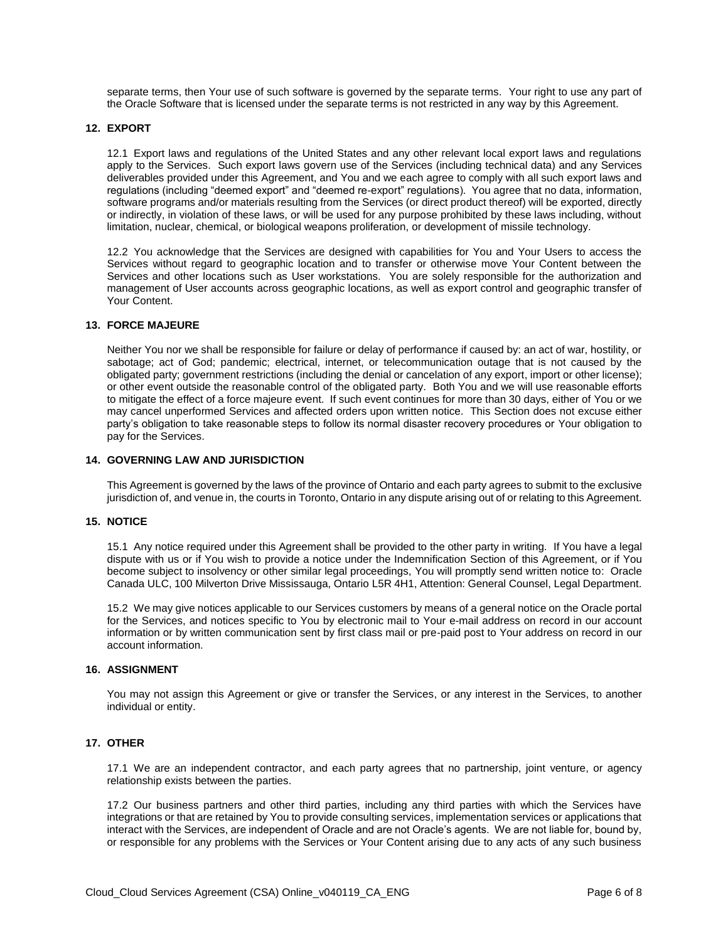separate terms, then Your use of such software is governed by the separate terms. Your right to use any part of the Oracle Software that is licensed under the separate terms is not restricted in any way by this Agreement.

#### **12. EXPORT**

12.1 Export laws and regulations of the United States and any other relevant local export laws and regulations apply to the Services. Such export laws govern use of the Services (including technical data) and any Services deliverables provided under this Agreement, and You and we each agree to comply with all such export laws and regulations (including "deemed export" and "deemed re-export" regulations). You agree that no data, information, software programs and/or materials resulting from the Services (or direct product thereof) will be exported, directly or indirectly, in violation of these laws, or will be used for any purpose prohibited by these laws including, without limitation, nuclear, chemical, or biological weapons proliferation, or development of missile technology.

12.2 You acknowledge that the Services are designed with capabilities for You and Your Users to access the Services without regard to geographic location and to transfer or otherwise move Your Content between the Services and other locations such as User workstations. You are solely responsible for the authorization and management of User accounts across geographic locations, as well as export control and geographic transfer of Your Content.

#### **13. FORCE MAJEURE**

Neither You nor we shall be responsible for failure or delay of performance if caused by: an act of war, hostility, or sabotage; act of God; pandemic; electrical, internet, or telecommunication outage that is not caused by the obligated party; government restrictions (including the denial or cancelation of any export, import or other license); or other event outside the reasonable control of the obligated party. Both You and we will use reasonable efforts to mitigate the effect of a force majeure event. If such event continues for more than 30 days, either of You or we may cancel unperformed Services and affected orders upon written notice. This Section does not excuse either party's obligation to take reasonable steps to follow its normal disaster recovery procedures or Your obligation to pay for the Services.

#### **14. GOVERNING LAW AND JURISDICTION**

This Agreement is governed by the laws of the province of Ontario and each party agrees to submit to the exclusive jurisdiction of, and venue in, the courts in Toronto, Ontario in any dispute arising out of or relating to this Agreement.

#### **15. NOTICE**

15.1 Any notice required under this Agreement shall be provided to the other party in writing. If You have a legal dispute with us or if You wish to provide a notice under the Indemnification Section of this Agreement, or if You become subject to insolvency or other similar legal proceedings, You will promptly send written notice to: Oracle Canada ULC, 100 Milverton Drive Mississauga, Ontario L5R 4H1, Attention: General Counsel, Legal Department.

15.2 We may give notices applicable to our Services customers by means of a general notice on the Oracle portal for the Services, and notices specific to You by electronic mail to Your e-mail address on record in our account information or by written communication sent by first class mail or pre-paid post to Your address on record in our account information.

#### **16. ASSIGNMENT**

You may not assign this Agreement or give or transfer the Services, or any interest in the Services, to another individual or entity.

#### **17. OTHER**

17.1 We are an independent contractor, and each party agrees that no partnership, joint venture, or agency relationship exists between the parties.

17.2 Our business partners and other third parties, including any third parties with which the Services have integrations or that are retained by You to provide consulting services, implementation services or applications that interact with the Services, are independent of Oracle and are not Oracle's agents. We are not liable for, bound by, or responsible for any problems with the Services or Your Content arising due to any acts of any such business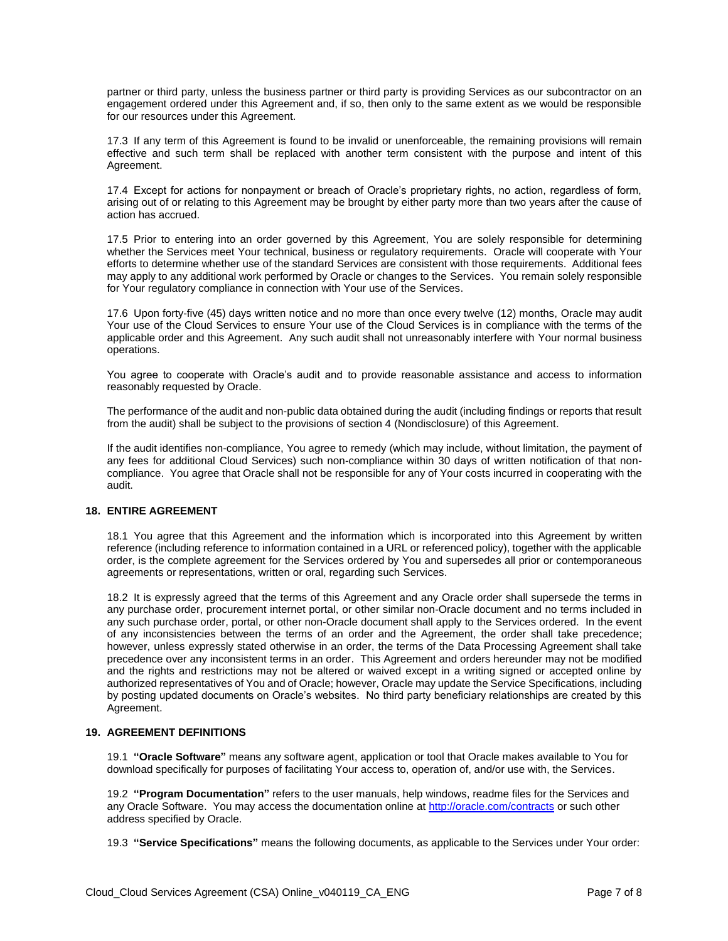partner or third party, unless the business partner or third party is providing Services as our subcontractor on an engagement ordered under this Agreement and, if so, then only to the same extent as we would be responsible for our resources under this Agreement.

17.3 If any term of this Agreement is found to be invalid or unenforceable, the remaining provisions will remain effective and such term shall be replaced with another term consistent with the purpose and intent of this Agreement.

17.4 Except for actions for nonpayment or breach of Oracle's proprietary rights, no action, regardless of form, arising out of or relating to this Agreement may be brought by either party more than two years after the cause of action has accrued.

17.5 Prior to entering into an order governed by this Agreement, You are solely responsible for determining whether the Services meet Your technical, business or regulatory requirements. Oracle will cooperate with Your efforts to determine whether use of the standard Services are consistent with those requirements. Additional fees may apply to any additional work performed by Oracle or changes to the Services. You remain solely responsible for Your regulatory compliance in connection with Your use of the Services.

17.6 Upon forty-five (45) days written notice and no more than once every twelve (12) months, Oracle may audit Your use of the Cloud Services to ensure Your use of the Cloud Services is in compliance with the terms of the applicable order and this Agreement. Any such audit shall not unreasonably interfere with Your normal business operations.

You agree to cooperate with Oracle's audit and to provide reasonable assistance and access to information reasonably requested by Oracle.

The performance of the audit and non-public data obtained during the audit (including findings or reports that result from the audit) shall be subject to the provisions of section 4 (Nondisclosure) of this Agreement.

If the audit identifies non-compliance, You agree to remedy (which may include, without limitation, the payment of any fees for additional Cloud Services) such non-compliance within 30 days of written notification of that noncompliance. You agree that Oracle shall not be responsible for any of Your costs incurred in cooperating with the audit.

#### **18. ENTIRE AGREEMENT**

18.1 You agree that this Agreement and the information which is incorporated into this Agreement by written reference (including reference to information contained in a URL or referenced policy), together with the applicable order, is the complete agreement for the Services ordered by You and supersedes all prior or contemporaneous agreements or representations, written or oral, regarding such Services.

18.2 It is expressly agreed that the terms of this Agreement and any Oracle order shall supersede the terms in any purchase order, procurement internet portal, or other similar non-Oracle document and no terms included in any such purchase order, portal, or other non-Oracle document shall apply to the Services ordered. In the event of any inconsistencies between the terms of an order and the Agreement, the order shall take precedence; however, unless expressly stated otherwise in an order, the terms of the Data Processing Agreement shall take precedence over any inconsistent terms in an order. This Agreement and orders hereunder may not be modified and the rights and restrictions may not be altered or waived except in a writing signed or accepted online by authorized representatives of You and of Oracle; however, Oracle may update the Service Specifications, including by posting updated documents on Oracle's websites. No third party beneficiary relationships are created by this Agreement.

## **19. AGREEMENT DEFINITIONS**

19.1 **"Oracle Software"** means any software agent, application or tool that Oracle makes available to You for download specifically for purposes of facilitating Your access to, operation of, and/or use with, the Services.

19.2 **"Program Documentation"** refers to the user manuals, help windows, readme files for the Services and any Oracle Software. You may access the documentation online a[t http://oracle.com/contracts](http://oracle.com/contracts) or such other address specified by Oracle.

19.3 **"Service Specifications"** means the following documents, as applicable to the Services under Your order: